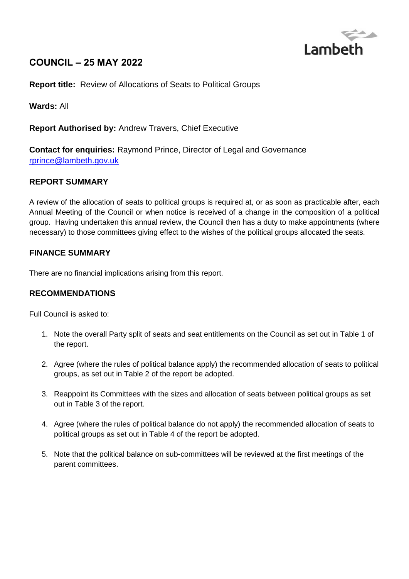

# **COUNCIL – 25 MAY 2022**

**Report title:** Review of Allocations of Seats to Political Groups

**Wards:** All

**Report Authorised by:** Andrew Travers, Chief Executive

**Contact for enquiries:** Raymond Prince, Director of Legal and Governance [rprince@lambeth.gov.uk](mailto:rprince@lambeth.gov.uk)

## **REPORT SUMMARY**

A review of the allocation of seats to political groups is required at, or as soon as practicable after, each Annual Meeting of the Council or when notice is received of a change in the composition of a political group. Having undertaken this annual review, the Council then has a duty to make appointments (where necessary) to those committees giving effect to the wishes of the political groups allocated the seats.

## **FINANCE SUMMARY**

There are no financial implications arising from this report.

## **RECOMMENDATIONS**

Full Council is asked to:

- 1. Note the overall Party split of seats and seat entitlements on the Council as set out in Table 1 of the report.
- 2. Agree (where the rules of political balance apply) the recommended allocation of seats to political groups, as set out in Table 2 of the report be adopted.
- 3. Reappoint its Committees with the sizes and allocation of seats between political groups as set out in Table 3 of the report.
- 4. Agree (where the rules of political balance do not apply) the recommended allocation of seats to political groups as set out in Table 4 of the report be adopted.
- 5. Note that the political balance on sub-committees will be reviewed at the first meetings of the parent committees.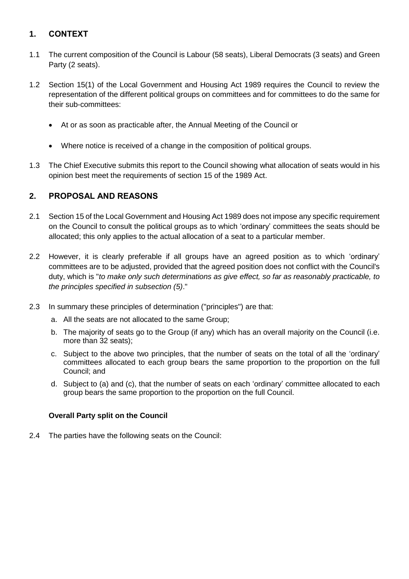## **1. CONTEXT**

- 1.1 The current composition of the Council is Labour (58 seats), Liberal Democrats (3 seats) and Green Party (2 seats).
- 1.2 Section 15(1) of the Local Government and Housing Act 1989 requires the Council to review the representation of the different political groups on committees and for committees to do the same for their sub-committees:
	- At or as soon as practicable after, the Annual Meeting of the Council or
	- Where notice is received of a change in the composition of political groups.
- 1.3 The Chief Executive submits this report to the Council showing what allocation of seats would in his opinion best meet the requirements of section 15 of the 1989 Act.

## **2. PROPOSAL AND REASONS**

- 2.1 Section 15 of the Local Government and Housing Act 1989 does not impose any specific requirement on the Council to consult the political groups as to which 'ordinary' committees the seats should be allocated; this only applies to the actual allocation of a seat to a particular member.
- 2.2 However, it is clearly preferable if all groups have an agreed position as to which 'ordinary' committees are to be adjusted, provided that the agreed position does not conflict with the Council's duty, which is "*to make only such determinations as give effect, so far as reasonably practicable, to the principles specified in subsection (5)*."
- 2.3 In summary these principles of determination ("principles") are that:
	- a. All the seats are not allocated to the same Group;
	- b. The majority of seats go to the Group (if any) which has an overall majority on the Council (i.e. more than 32 seats);
	- c. Subject to the above two principles, that the number of seats on the total of all the 'ordinary' committees allocated to each group bears the same proportion to the proportion on the full Council; and
	- d. Subject to (a) and (c), that the number of seats on each 'ordinary' committee allocated to each group bears the same proportion to the proportion on the full Council.

## **Overall Party split on the Council**

2.4 The parties have the following seats on the Council: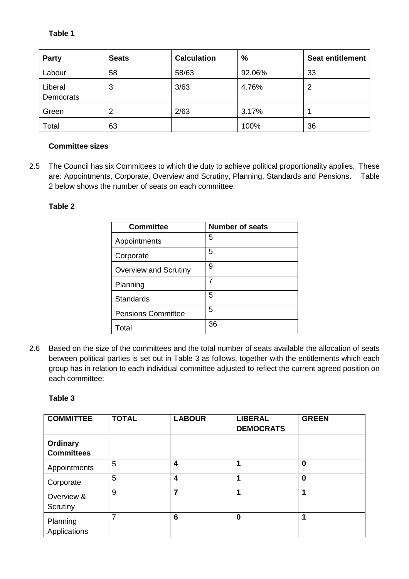**Table 1**

| <b>Party</b>         | <b>Seats</b> | <b>Calculation</b> | %      | <b>Seat entitlement</b> |
|----------------------|--------------|--------------------|--------|-------------------------|
| Labour               | 58           | 58/63              | 92.06% | 33                      |
| Liberal<br>Democrats | 3            | 3/63               | 4.76%  | 2                       |
| Green                | 2            | 2/63               | 3.17%  |                         |
| Total                | 63           |                    | 100%   | 36                      |

## **Committee sizes**

2.5 The Council has six Committees to which the duty to achieve political proportionality applies. These are: Appointments, Corporate, Overview and Scrutiny, Planning, Standards and Pensions. Table 2 below shows the number of seats on each committee:

## **Table 2**

| <b>Committee</b>             | <b>Number of seats</b> |
|------------------------------|------------------------|
| Appointments                 | 5                      |
| Corporate                    | 5                      |
| <b>Overview and Scrutiny</b> | 9                      |
| Planning                     | 7                      |
| <b>Standards</b>             | 5                      |
| <b>Pensions Committee</b>    | 5                      |
| Total                        | 36                     |

2.6 Based on the size of the committees and the total number of seats available the allocation of seats between political parties is set out in Table 3 as follows, together with the entitlements which each group has in relation to each individual committee adjusted to reflect the current agreed position on each committee:

**Table 3**

| <b>COMMITTEE</b>                     | <b>TOTAL</b> | <b>LABOUR</b> | <b>LIBERAL</b><br><b>DEMOCRATS</b> | <b>GREEN</b> |
|--------------------------------------|--------------|---------------|------------------------------------|--------------|
| <b>Ordinary</b><br><b>Committees</b> |              |               |                                    |              |
| Appointments                         | 5            | 4             |                                    | $\bf{0}$     |
| Corporate                            | 5            | 4             |                                    | $\bf{0}$     |
| Overview &<br>Scrutiny               | 9            | 7             |                                    | 1            |
| Planning<br>Applications             | 7            | 6             | $\bf{0}$                           | 1            |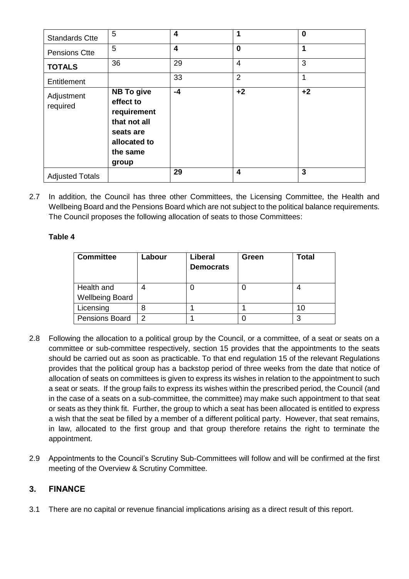| <b>Standards Ctte</b>  | 5                                                                                                               | 4                       | 1              | $\bf{0}$ |
|------------------------|-----------------------------------------------------------------------------------------------------------------|-------------------------|----------------|----------|
| <b>Pensions Ctte</b>   | 5                                                                                                               | $\overline{\mathbf{4}}$ | $\bf{0}$       | 1        |
| <b>TOTALS</b>          | 36                                                                                                              | 29                      | 4              | 3        |
| Entitlement            |                                                                                                                 | 33                      | $\overline{2}$ | 1        |
| Adjustment<br>required | <b>NB To give</b><br>effect to<br>requirement<br>that not all<br>seats are<br>allocated to<br>the same<br>group | $-4$                    | $+2$           | $+2$     |
| <b>Adjusted Totals</b> |                                                                                                                 | 29                      | 4              | 3        |

2.7 In addition, the Council has three other Committees, the Licensing Committee, the Health and Wellbeing Board and the Pensions Board which are not subject to the political balance requirements. The Council proposes the following allocation of seats to those Committees:

## **Table 4**

| <b>Committee</b>       | Labour | <b>Liberal</b><br><b>Democrats</b> | Green | Total |
|------------------------|--------|------------------------------------|-------|-------|
| Health and             |        |                                    |       |       |
| <b>Wellbeing Board</b> |        |                                    |       |       |
| Licensing              | 8      |                                    |       | 10    |
| <b>Pensions Board</b>  | 2      |                                    |       |       |

- 2.8 Following the allocation to a political group by the Council, or a committee, of a seat or seats on a committee or sub-committee respectively, section 15 provides that the appointments to the seats should be carried out as soon as practicable. To that end regulation 15 of the relevant Regulations provides that the political group has a backstop period of three weeks from the date that notice of allocation of seats on committees is given to express its wishes in relation to the appointment to such a seat or seats. If the group fails to express its wishes within the prescribed period, the Council (and in the case of a seats on a sub-committee, the committee) may make such appointment to that seat or seats as they think fit. Further, the group to which a seat has been allocated is entitled to express a wish that the seat be filled by a member of a different political party. However, that seat remains, in law, allocated to the first group and that group therefore retains the right to terminate the appointment.
- 2.9 Appointments to the Council's Scrutiny Sub-Committees will follow and will be confirmed at the first meeting of the Overview & Scrutiny Committee.

## **3. FINANCE**

3.1 There are no capital or revenue financial implications arising as a direct result of this report.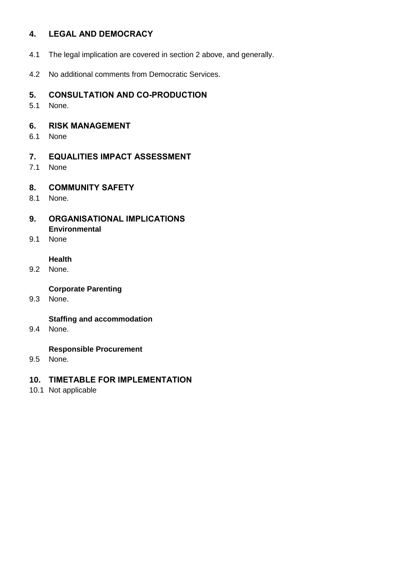## **4. LEGAL AND DEMOCRACY**

- 4.1 The legal implication are covered in section 2 above, and generally.
- 4.2 No additional comments from Democratic Services.

## **5. CONSULTATION AND CO-PRODUCTION**

5.1 None.

#### **6. RISK MANAGEMENT**

6.1 None

## **7. EQUALITIES IMPACT ASSESSMENT**

7.1 None

## **8. COMMUNITY SAFETY**

8.1 None.

#### **9. ORGANISATIONAL IMPLICATIONS Environmental**

9.1 None

#### **Health**

9.2 None.

### **Corporate Parenting**

9.3 None.

## **Staffing and accommodation**

9.4 None.

#### **Responsible Procurement**

9.5 None.

## **10. TIMETABLE FOR IMPLEMENTATION**

10.1 Not applicable